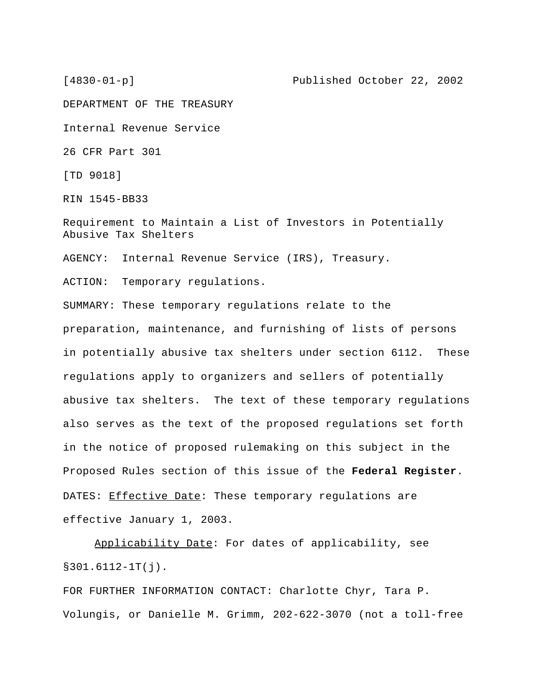DEPARTMENT OF THE TREASURY

Internal Revenue Service

26 CFR Part 301

[TD 9018]

RIN 1545-BB33

Requirement to Maintain a List of Investors in Potentially Abusive Tax Shelters

AGENCY: Internal Revenue Service (IRS), Treasury.

ACTION: Temporary regulations.

SUMMARY: These temporary regulations relate to the preparation, maintenance, and furnishing of lists of persons in potentially abusive tax shelters under section 6112. These regulations apply to organizers and sellers of potentially abusive tax shelters. The text of these temporary regulations also serves as the text of the proposed regulations set forth in the notice of proposed rulemaking on this subject in the Proposed Rules section of this issue of the **Federal Register**. DATES: Effective Date: These temporary regulations are effective January 1, 2003.

Applicability Date: For dates of applicability, see §301.6112-1T(j).

FOR FURTHER INFORMATION CONTACT: Charlotte Chyr, Tara P. Volungis, or Danielle M. Grimm, 202-622-3070 (not a toll-free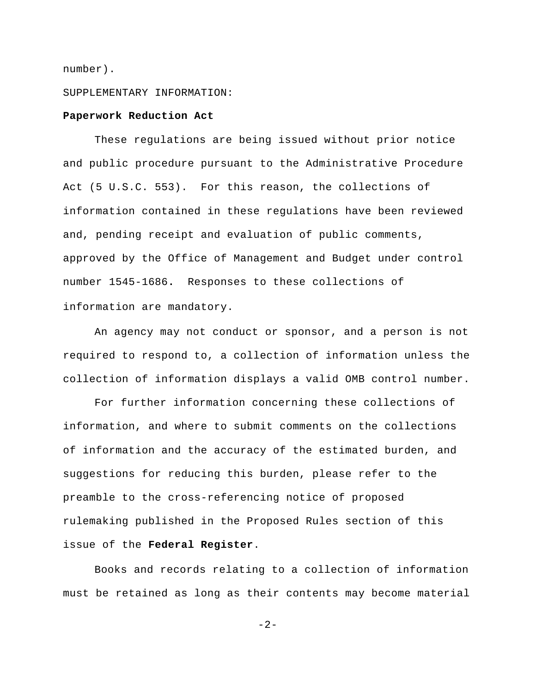number).

## SUPPLEMENTARY INFORMATION:

#### **Paperwork Reduction Act**

These regulations are being issued without prior notice and public procedure pursuant to the Administrative Procedure Act (5 U.S.C. 553). For this reason, the collections of information contained in these regulations have been reviewed and, pending receipt and evaluation of public comments, approved by the Office of Management and Budget under control number 1545-1686**.** Responses to these collections of information are mandatory.

An agency may not conduct or sponsor, and a person is not required to respond to, a collection of information unless the collection of information displays a valid OMB control number.

For further information concerning these collections of information, and where to submit comments on the collections of information and the accuracy of the estimated burden, and suggestions for reducing this burden, please refer to the preamble to the cross-referencing notice of proposed rulemaking published in the Proposed Rules section of this issue of the **Federal Register**.

Books and records relating to a collection of information must be retained as long as their contents may become material

 $-2-$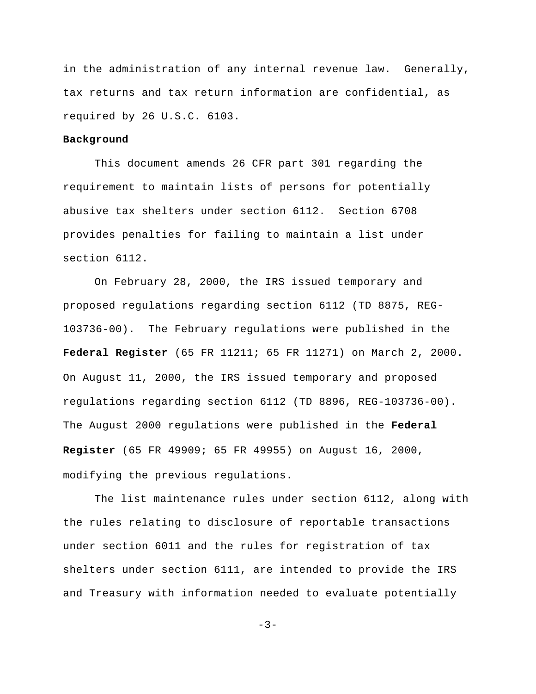in the administration of any internal revenue law. Generally, tax returns and tax return information are confidential, as required by 26 U.S.C. 6103.

# **Background**

This document amends 26 CFR part 301 regarding the requirement to maintain lists of persons for potentially abusive tax shelters under section 6112. Section 6708 provides penalties for failing to maintain a list under section 6112.

On February 28, 2000, the IRS issued temporary and proposed regulations regarding section 6112 (TD 8875, REG-103736-00). The February regulations were published in the **Federal Register** (65 FR 11211; 65 FR 11271) on March 2, 2000. On August 11, 2000, the IRS issued temporary and proposed regulations regarding section 6112 (TD 8896, REG-103736-00). The August 2000 regulations were published in the **Federal Register** (65 FR 49909; 65 FR 49955) on August 16, 2000, modifying the previous regulations.

The list maintenance rules under section 6112, along with the rules relating to disclosure of reportable transactions under section 6011 and the rules for registration of tax shelters under section 6111, are intended to provide the IRS and Treasury with information needed to evaluate potentially

 $-3-$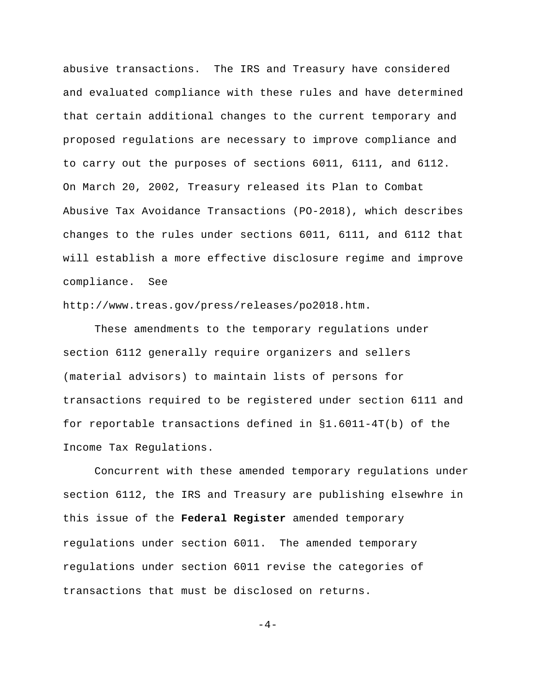abusive transactions. The IRS and Treasury have considered and evaluated compliance with these rules and have determined that certain additional changes to the current temporary and proposed regulations are necessary to improve compliance and to carry out the purposes of sections 6011, 6111, and 6112. On March 20, 2002, Treasury released its Plan to Combat Abusive Tax Avoidance Transactions (PO-2018), which describes changes to the rules under sections 6011, 6111, and 6112 that will establish a more effective disclosure regime and improve compliance. See

http://www.treas.gov/press/releases/po2018.htm.

These amendments to the temporary regulations under section 6112 generally require organizers and sellers (material advisors) to maintain lists of persons for transactions required to be registered under section 6111 and for reportable transactions defined in §1.6011-4T(b) of the Income Tax Regulations.

Concurrent with these amended temporary regulations under section 6112, the IRS and Treasury are publishing elsewhre in this issue of the **Federal Register** amended temporary regulations under section 6011. The amended temporary regulations under section 6011 revise the categories of transactions that must be disclosed on returns.

 $-4-$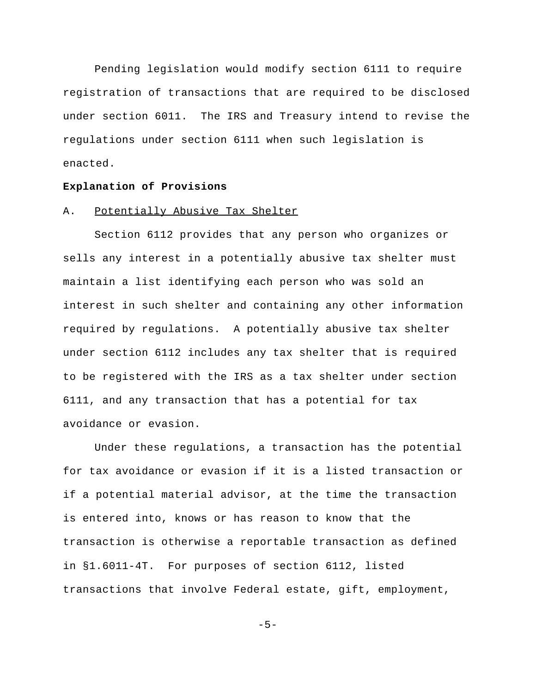Pending legislation would modify section 6111 to require registration of transactions that are required to be disclosed under section 6011. The IRS and Treasury intend to revise the regulations under section 6111 when such legislation is enacted.

#### **Explanation of Provisions**

#### A. Potentially Abusive Tax Shelter

Section 6112 provides that any person who organizes or sells any interest in a potentially abusive tax shelter must maintain a list identifying each person who was sold an interest in such shelter and containing any other information required by regulations. A potentially abusive tax shelter under section 6112 includes any tax shelter that is required to be registered with the IRS as a tax shelter under section 6111, and any transaction that has a potential for tax avoidance or evasion.

Under these regulations, a transaction has the potential for tax avoidance or evasion if it is a listed transaction or if a potential material advisor, at the time the transaction is entered into, knows or has reason to know that the transaction is otherwise a reportable transaction as defined in §1.6011-4T. For purposes of section 6112, listed transactions that involve Federal estate, gift, employment,

 $-5-$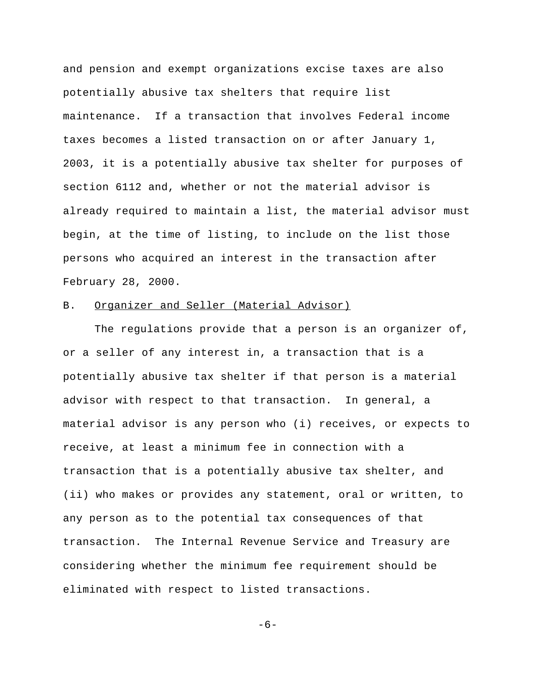and pension and exempt organizations excise taxes are also potentially abusive tax shelters that require list maintenance. If a transaction that involves Federal income taxes becomes a listed transaction on or after January 1, 2003, it is a potentially abusive tax shelter for purposes of section 6112 and, whether or not the material advisor is already required to maintain a list, the material advisor must begin, at the time of listing, to include on the list those persons who acquired an interest in the transaction after February 28, 2000.

# B. Organizer and Seller (Material Advisor)

The regulations provide that a person is an organizer of, or a seller of any interest in, a transaction that is a potentially abusive tax shelter if that person is a material advisor with respect to that transaction. In general, a material advisor is any person who (i) receives, or expects to receive, at least a minimum fee in connection with a transaction that is a potentially abusive tax shelter, and (ii) who makes or provides any statement, oral or written, to any person as to the potential tax consequences of that transaction. The Internal Revenue Service and Treasury are considering whether the minimum fee requirement should be eliminated with respect to listed transactions.

-6-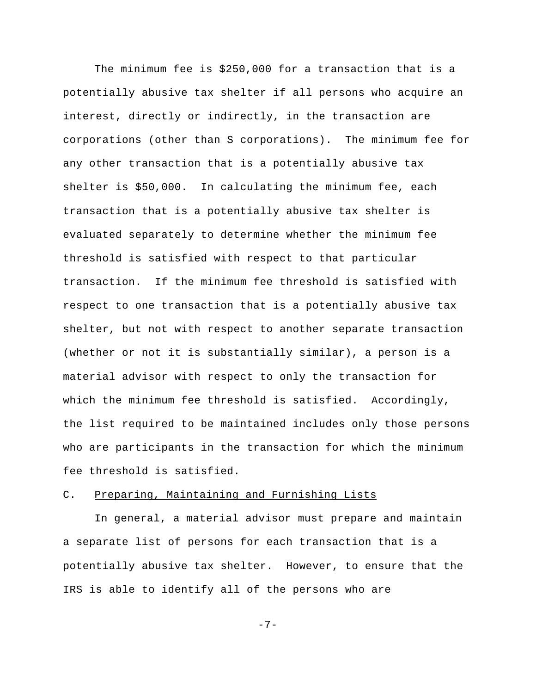The minimum fee is \$250,000 for a transaction that is a potentially abusive tax shelter if all persons who acquire an interest, directly or indirectly, in the transaction are corporations (other than S corporations). The minimum fee for any other transaction that is a potentially abusive tax shelter is \$50,000. In calculating the minimum fee, each transaction that is a potentially abusive tax shelter is evaluated separately to determine whether the minimum fee threshold is satisfied with respect to that particular transaction. If the minimum fee threshold is satisfied with respect to one transaction that is a potentially abusive tax shelter, but not with respect to another separate transaction (whether or not it is substantially similar), a person is a material advisor with respect to only the transaction for which the minimum fee threshold is satisfied. Accordingly, the list required to be maintained includes only those persons who are participants in the transaction for which the minimum fee threshold is satisfied.

#### C. Preparing, Maintaining and Furnishing Lists

In general, a material advisor must prepare and maintain a separate list of persons for each transaction that is a potentially abusive tax shelter. However, to ensure that the IRS is able to identify all of the persons who are

$$
-\,7\,-
$$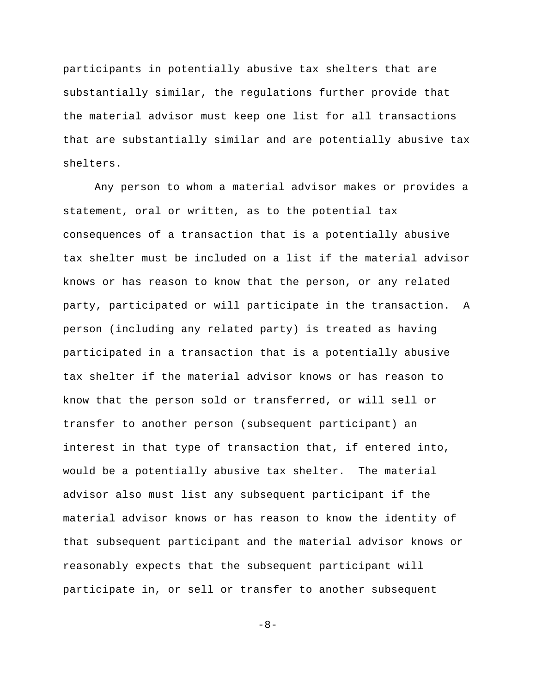participants in potentially abusive tax shelters that are substantially similar, the regulations further provide that the material advisor must keep one list for all transactions that are substantially similar and are potentially abusive tax shelters.

Any person to whom a material advisor makes or provides a statement, oral or written, as to the potential tax consequences of a transaction that is a potentially abusive tax shelter must be included on a list if the material advisor knows or has reason to know that the person, or any related party, participated or will participate in the transaction. A person (including any related party) is treated as having participated in a transaction that is a potentially abusive tax shelter if the material advisor knows or has reason to know that the person sold or transferred, or will sell or transfer to another person (subsequent participant) an interest in that type of transaction that, if entered into, would be a potentially abusive tax shelter. The material advisor also must list any subsequent participant if the material advisor knows or has reason to know the identity of that subsequent participant and the material advisor knows or reasonably expects that the subsequent participant will participate in, or sell or transfer to another subsequent

-8-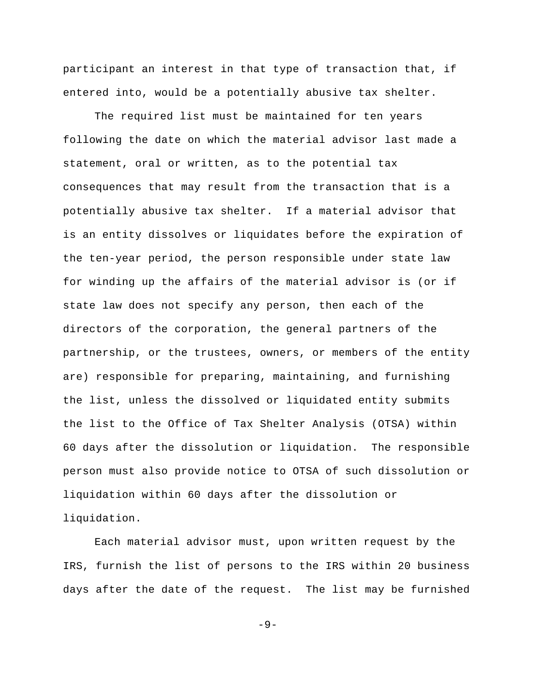participant an interest in that type of transaction that, if entered into, would be a potentially abusive tax shelter.

The required list must be maintained for ten years following the date on which the material advisor last made a statement, oral or written, as to the potential tax consequences that may result from the transaction that is a potentially abusive tax shelter. If a material advisor that is an entity dissolves or liquidates before the expiration of the ten-year period, the person responsible under state law for winding up the affairs of the material advisor is (or if state law does not specify any person, then each of the directors of the corporation, the general partners of the partnership, or the trustees, owners, or members of the entity are) responsible for preparing, maintaining, and furnishing the list, unless the dissolved or liquidated entity submits the list to the Office of Tax Shelter Analysis (OTSA) within 60 days after the dissolution or liquidation. The responsible person must also provide notice to OTSA of such dissolution or liquidation within 60 days after the dissolution or liquidation.

Each material advisor must, upon written request by the IRS, furnish the list of persons to the IRS within 20 business days after the date of the request. The list may be furnished

-9-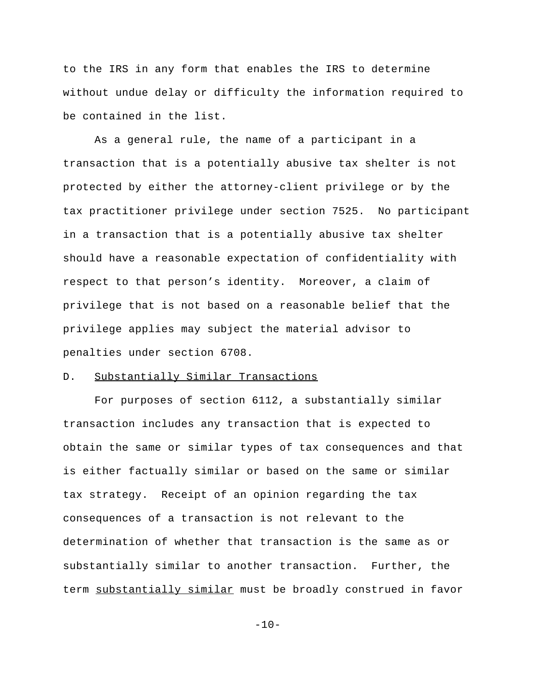to the IRS in any form that enables the IRS to determine without undue delay or difficulty the information required to be contained in the list.

As a general rule, the name of a participant in a transaction that is a potentially abusive tax shelter is not protected by either the attorney-client privilege or by the tax practitioner privilege under section 7525. No participant in a transaction that is a potentially abusive tax shelter should have a reasonable expectation of confidentiality with respect to that person's identity. Moreover, a claim of privilege that is not based on a reasonable belief that the privilege applies may subject the material advisor to penalties under section 6708.

# D. Substantially Similar Transactions

For purposes of section 6112, a substantially similar transaction includes any transaction that is expected to obtain the same or similar types of tax consequences and that is either factually similar or based on the same or similar tax strategy. Receipt of an opinion regarding the tax consequences of a transaction is not relevant to the determination of whether that transaction is the same as or substantially similar to another transaction. Further, the term substantially similar must be broadly construed in favor

 $-10-$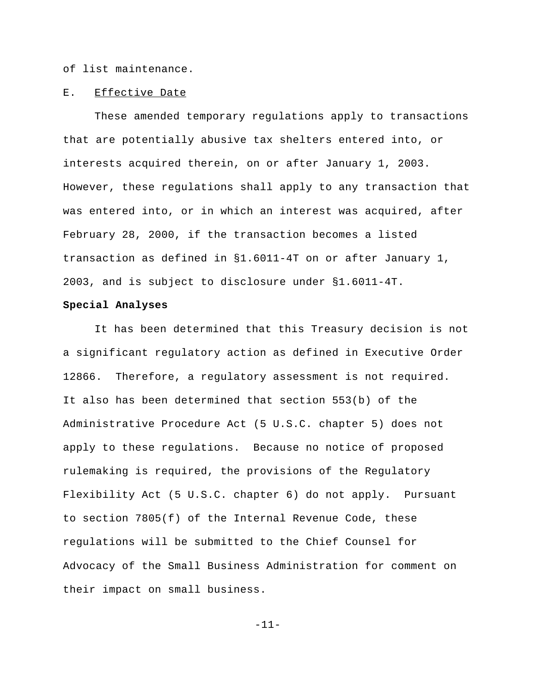of list maintenance.

## E. Effective Date

These amended temporary regulations apply to transactions that are potentially abusive tax shelters entered into, or interests acquired therein, on or after January 1, 2003. However, these regulations shall apply to any transaction that was entered into, or in which an interest was acquired, after February 28, 2000, if the transaction becomes a listed transaction as defined in §1.6011-4T on or after January 1, 2003, and is subject to disclosure under §1.6011-4T.

## **Special Analyses**

It has been determined that this Treasury decision is not a significant regulatory action as defined in Executive Order 12866. Therefore, a regulatory assessment is not required. It also has been determined that section 553(b) of the Administrative Procedure Act (5 U.S.C. chapter 5) does not apply to these regulations. Because no notice of proposed rulemaking is required, the provisions of the Regulatory Flexibility Act (5 U.S.C. chapter 6) do not apply. Pursuant to section 7805(f) of the Internal Revenue Code, these regulations will be submitted to the Chief Counsel for Advocacy of the Small Business Administration for comment on their impact on small business.

-11-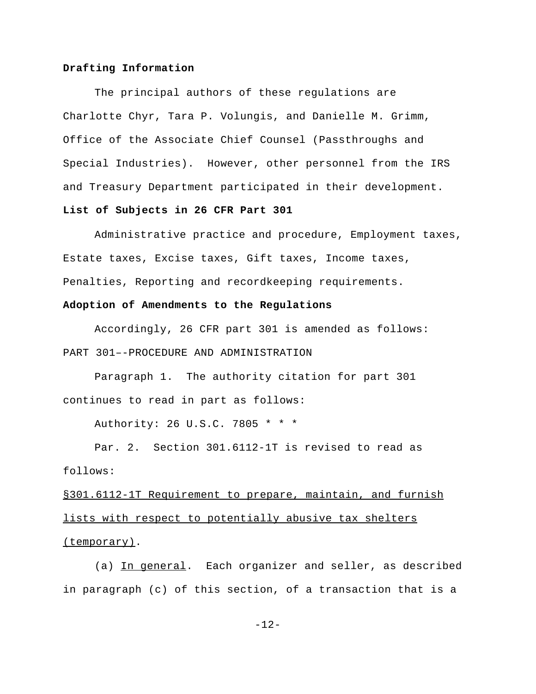## **Drafting Information**

The principal authors of these regulations are Charlotte Chyr, Tara P. Volungis, and Danielle M. Grimm, Office of the Associate Chief Counsel (Passthroughs and Special Industries). However, other personnel from the IRS and Treasury Department participated in their development. **List of Subjects in 26 CFR Part 301**

Administrative practice and procedure, Employment taxes, Estate taxes, Excise taxes, Gift taxes, Income taxes, Penalties, Reporting and recordkeeping requirements.

## **Adoption of Amendments to the Regulations**

Accordingly, 26 CFR part 301 is amended as follows: PART 301–-PROCEDURE AND ADMINISTRATION

Paragraph 1. The authority citation for part 301 continues to read in part as follows:

Authority: 26 U.S.C. 7805 \* \* \*

Par. 2. Section 301.6112-1T is revised to read as follows:

§301.6112-1T Requirement to prepare, maintain, and furnish lists with respect to potentially abusive tax shelters (temporary).

(a) In general. Each organizer and seller, as described in paragraph (c) of this section, of a transaction that is a

-12-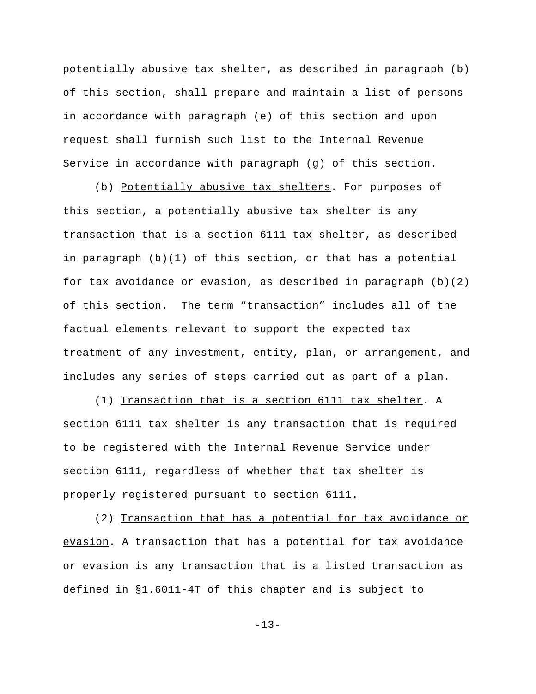potentially abusive tax shelter, as described in paragraph (b) of this section, shall prepare and maintain a list of persons in accordance with paragraph (e) of this section and upon request shall furnish such list to the Internal Revenue Service in accordance with paragraph (g) of this section.

(b) Potentially abusive tax shelters. For purposes of this section, a potentially abusive tax shelter is any transaction that is a section 6111 tax shelter, as described in paragraph (b)(1) of this section, or that has a potential for tax avoidance or evasion, as described in paragraph  $(b)(2)$ of this section. The term "transaction" includes all of the factual elements relevant to support the expected tax treatment of any investment, entity, plan, or arrangement, and includes any series of steps carried out as part of a plan.

(1) Transaction that is a section 6111 tax shelter. A section 6111 tax shelter is any transaction that is required to be registered with the Internal Revenue Service under section 6111, regardless of whether that tax shelter is properly registered pursuant to section 6111.

(2) Transaction that has a potential for tax avoidance or evasion. A transaction that has a potential for tax avoidance or evasion is any transaction that is a listed transaction as defined in §1.6011-4T of this chapter and is subject to

 $-13-$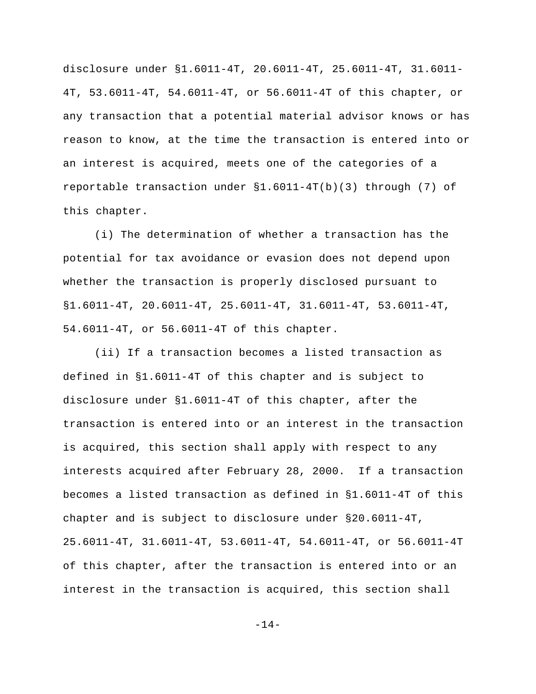disclosure under §1.6011-4T, 20.6011-4T, 25.6011-4T, 31.6011- 4T, 53.6011-4T, 54.6011-4T, or 56.6011-4T of this chapter, or any transaction that a potential material advisor knows or has reason to know, at the time the transaction is entered into or an interest is acquired, meets one of the categories of a reportable transaction under §1.6011-4T(b)(3) through (7) of this chapter.

(i) The determination of whether a transaction has the potential for tax avoidance or evasion does not depend upon whether the transaction is properly disclosed pursuant to §1.6011-4T, 20.6011-4T, 25.6011-4T, 31.6011-4T, 53.6011-4T, 54.6011-4T, or 56.6011-4T of this chapter.

(ii) If a transaction becomes a listed transaction as defined in §1.6011-4T of this chapter and is subject to disclosure under §1.6011-4T of this chapter, after the transaction is entered into or an interest in the transaction is acquired, this section shall apply with respect to any interests acquired after February 28, 2000. If a transaction becomes a listed transaction as defined in §1.6011-4T of this chapter and is subject to disclosure under §20.6011-4T, 25.6011-4T, 31.6011-4T, 53.6011-4T, 54.6011-4T, or 56.6011-4T of this chapter, after the transaction is entered into or an interest in the transaction is acquired, this section shall

-14-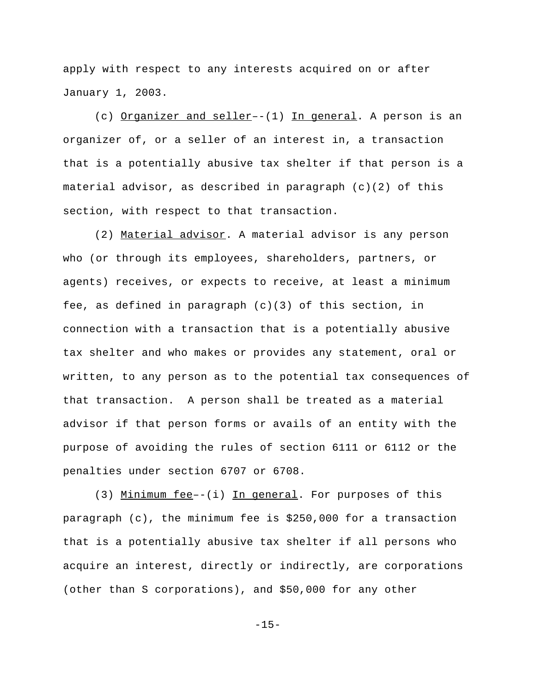apply with respect to any interests acquired on or after January 1, 2003.

(c) Organizer and seller–-(1) In general. A person is an organizer of, or a seller of an interest in, a transaction that is a potentially abusive tax shelter if that person is a material advisor, as described in paragraph  $(c)(2)$  of this section, with respect to that transaction.

(2) Material advisor. A material advisor is any person who (or through its employees, shareholders, partners, or agents) receives, or expects to receive, at least a minimum fee, as defined in paragraph  $(c)(3)$  of this section, in connection with a transaction that is a potentially abusive tax shelter and who makes or provides any statement, oral or written, to any person as to the potential tax consequences of that transaction. A person shall be treated as a material advisor if that person forms or avails of an entity with the purpose of avoiding the rules of section 6111 or 6112 or the penalties under section 6707 or 6708.

(3) Minimum fee--(i) In general. For purposes of this paragraph (c), the minimum fee is \$250,000 for a transaction that is a potentially abusive tax shelter if all persons who acquire an interest, directly or indirectly, are corporations (other than S corporations), and \$50,000 for any other

 $-15-$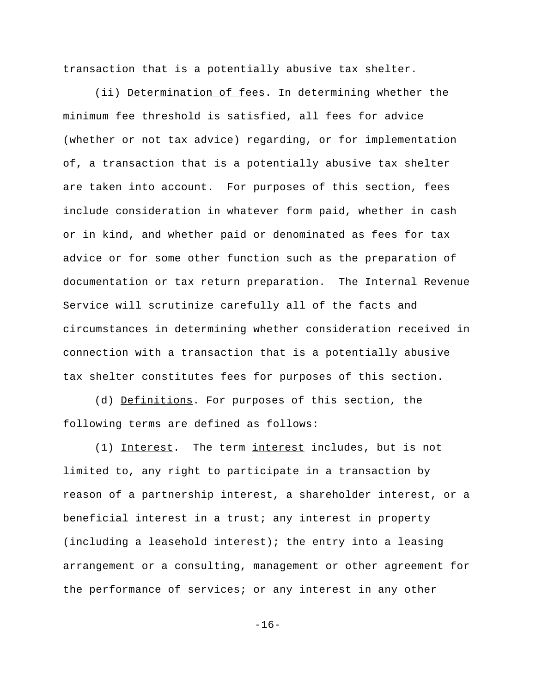transaction that is a potentially abusive tax shelter.

(ii) Determination of fees. In determining whether the minimum fee threshold is satisfied, all fees for advice (whether or not tax advice) regarding, or for implementation of, a transaction that is a potentially abusive tax shelter are taken into account. For purposes of this section, fees include consideration in whatever form paid, whether in cash or in kind, and whether paid or denominated as fees for tax advice or for some other function such as the preparation of documentation or tax return preparation. The Internal Revenue Service will scrutinize carefully all of the facts and circumstances in determining whether consideration received in connection with a transaction that is a potentially abusive tax shelter constitutes fees for purposes of this section.

(d) Definitions. For purposes of this section, the following terms are defined as follows:

(1) Interest. The term interest includes, but is not limited to, any right to participate in a transaction by reason of a partnership interest, a shareholder interest, or a beneficial interest in a trust; any interest in property (including a leasehold interest); the entry into a leasing arrangement or a consulting, management or other agreement for the performance of services; or any interest in any other

 $-16-$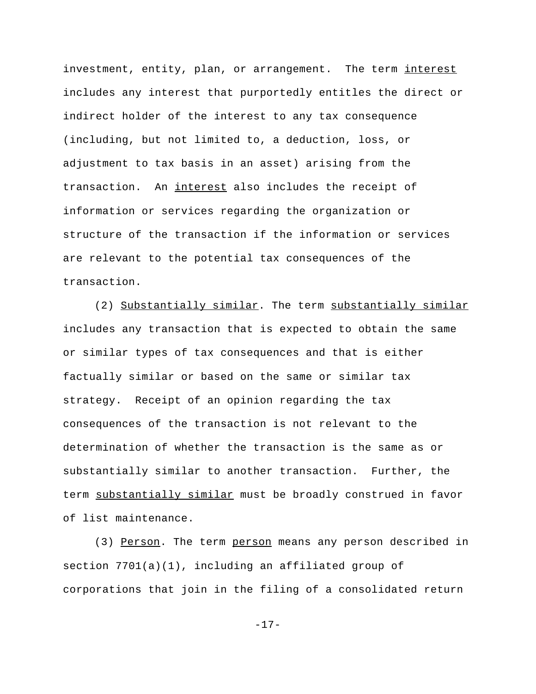investment, entity, plan, or arrangement. The term interest includes any interest that purportedly entitles the direct or indirect holder of the interest to any tax consequence (including, but not limited to, a deduction, loss, or adjustment to tax basis in an asset) arising from the transaction. An interest also includes the receipt of information or services regarding the organization or structure of the transaction if the information or services are relevant to the potential tax consequences of the transaction.

(2) Substantially similar. The term substantially similar includes any transaction that is expected to obtain the same or similar types of tax consequences and that is either factually similar or based on the same or similar tax strategy. Receipt of an opinion regarding the tax consequences of the transaction is not relevant to the determination of whether the transaction is the same as or substantially similar to another transaction. Further, the term substantially similar must be broadly construed in favor of list maintenance.

(3) Person. The term person means any person described in section 7701(a)(1), including an affiliated group of corporations that join in the filing of a consolidated return

 $-17-$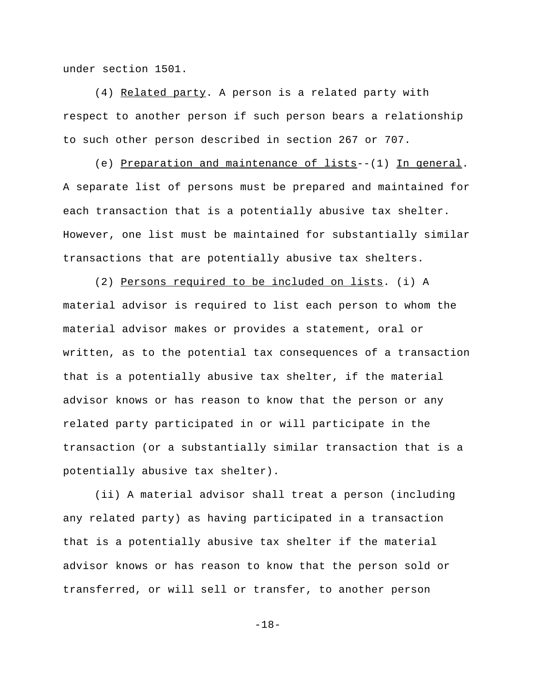under section 1501.

(4) Related party. A person is a related party with respect to another person if such person bears a relationship to such other person described in section 267 or 707.

(e) Preparation and maintenance of lists--(1) In general. A separate list of persons must be prepared and maintained for each transaction that is a potentially abusive tax shelter. However, one list must be maintained for substantially similar transactions that are potentially abusive tax shelters.

(2) Persons required to be included on lists. (i) A material advisor is required to list each person to whom the material advisor makes or provides a statement, oral or written, as to the potential tax consequences of a transaction that is a potentially abusive tax shelter, if the material advisor knows or has reason to know that the person or any related party participated in or will participate in the transaction (or a substantially similar transaction that is a potentially abusive tax shelter).

(ii) A material advisor shall treat a person (including any related party) as having participated in a transaction that is a potentially abusive tax shelter if the material advisor knows or has reason to know that the person sold or transferred, or will sell or transfer, to another person

-18-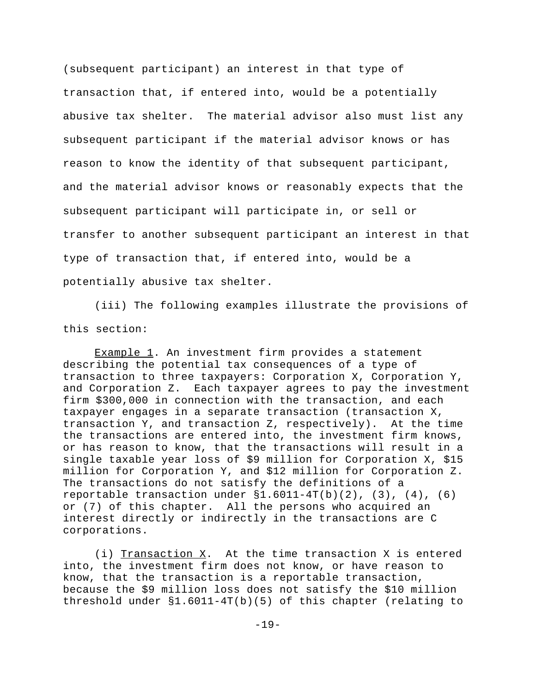(subsequent participant) an interest in that type of transaction that, if entered into, would be a potentially abusive tax shelter. The material advisor also must list any subsequent participant if the material advisor knows or has reason to know the identity of that subsequent participant, and the material advisor knows or reasonably expects that the subsequent participant will participate in, or sell or transfer to another subsequent participant an interest in that type of transaction that, if entered into, would be a potentially abusive tax shelter.

(iii) The following examples illustrate the provisions of this section:

Example 1. An investment firm provides a statement describing the potential tax consequences of a type of transaction to three taxpayers: Corporation X, Corporation Y, and Corporation Z. Each taxpayer agrees to pay the investment firm \$300,000 in connection with the transaction, and each taxpayer engages in a separate transaction (transaction X, transaction Y, and transaction Z, respectively). At the time the transactions are entered into, the investment firm knows, or has reason to know, that the transactions will result in a single taxable year loss of \$9 million for Corporation X, \$15 million for Corporation Y, and \$12 million for Corporation Z. The transactions do not satisfy the definitions of a reportable transaction under  $$1.6011-4T(b)(2)$ ,  $(3)$ ,  $(4)$ ,  $(6)$ or (7) of this chapter. All the persons who acquired an interest directly or indirectly in the transactions are C corporations.

(i) Transaction  $X$ . At the time transaction  $X$  is entered into, the investment firm does not know, or have reason to know, that the transaction is a reportable transaction, because the \$9 million loss does not satisfy the \$10 million threshold under §1.6011-4T(b)(5) of this chapter (relating to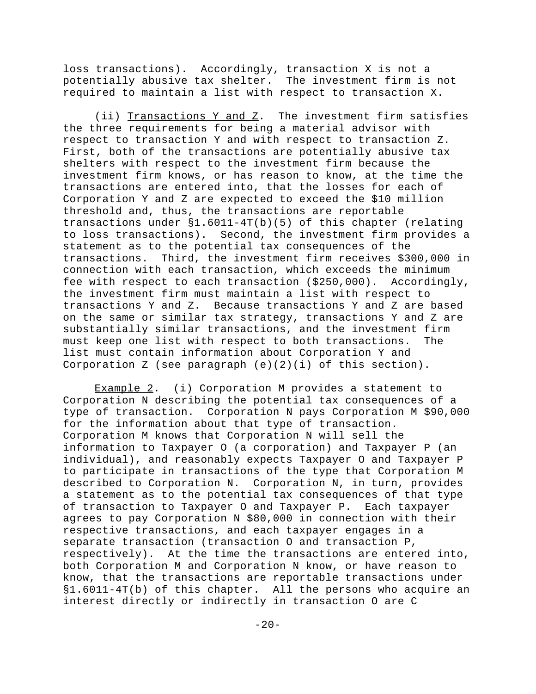loss transactions). Accordingly, transaction X is not a potentially abusive tax shelter. The investment firm is not required to maintain a list with respect to transaction X.

(ii) Transactions Y and Z. The investment firm satisfies the three requirements for being a material advisor with respect to transaction Y and with respect to transaction Z. First, both of the transactions are potentially abusive tax shelters with respect to the investment firm because the investment firm knows, or has reason to know, at the time the transactions are entered into, that the losses for each of Corporation Y and Z are expected to exceed the \$10 million threshold and, thus, the transactions are reportable transactions under §1.6011-4T(b)(5) of this chapter (relating to loss transactions). Second, the investment firm provides a statement as to the potential tax consequences of the transactions. Third, the investment firm receives \$300,000 in connection with each transaction, which exceeds the minimum fee with respect to each transaction (\$250,000). Accordingly, the investment firm must maintain a list with respect to transactions Y and Z. Because transactions Y and Z are based on the same or similar tax strategy, transactions Y and Z are substantially similar transactions, and the investment firm must keep one list with respect to both transactions. The list must contain information about Corporation Y and Corporation Z (see paragraph  $(e)(2)(i)$  of this section).

Example 2. (i) Corporation M provides a statement to Corporation N describing the potential tax consequences of a type of transaction. Corporation N pays Corporation M \$90,000 for the information about that type of transaction. Corporation M knows that Corporation N will sell the information to Taxpayer O (a corporation) and Taxpayer P (an individual), and reasonably expects Taxpayer O and Taxpayer P to participate in transactions of the type that Corporation M described to Corporation N. Corporation N, in turn, provides a statement as to the potential tax consequences of that type of transaction to Taxpayer O and Taxpayer P. Each taxpayer agrees to pay Corporation N \$80,000 in connection with their respective transactions, and each taxpayer engages in a separate transaction (transaction O and transaction P, respectively). At the time the transactions are entered into, both Corporation M and Corporation N know, or have reason to know, that the transactions are reportable transactions under §1.6011-4T(b) of this chapter. All the persons who acquire an interest directly or indirectly in transaction O are C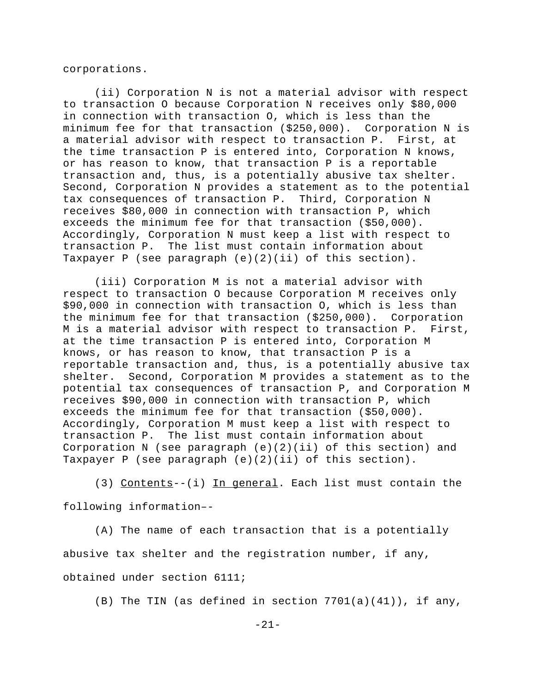corporations.

(ii) Corporation N is not a material advisor with respect to transaction O because Corporation N receives only \$80,000 in connection with transaction O, which is less than the minimum fee for that transaction (\$250,000). Corporation N is a material advisor with respect to transaction P. First, at the time transaction P is entered into, Corporation N knows, or has reason to know, that transaction P is a reportable transaction and, thus, is a potentially abusive tax shelter. Second, Corporation N provides a statement as to the potential tax consequences of transaction P. Third, Corporation N receives \$80,000 in connection with transaction P, which exceeds the minimum fee for that transaction (\$50,000). Accordingly, Corporation N must keep a list with respect to transaction P. The list must contain information about Taxpayer P (see paragraph  $(e)(2)(ii)$  of this section).

(iii) Corporation M is not a material advisor with respect to transaction O because Corporation M receives only \$90,000 in connection with transaction O, which is less than the minimum fee for that transaction (\$250,000). Corporation M is a material advisor with respect to transaction P. First, at the time transaction P is entered into, Corporation M knows, or has reason to know, that transaction P is a reportable transaction and, thus, is a potentially abusive tax shelter. Second, Corporation M provides a statement as to the potential tax consequences of transaction P, and Corporation M receives \$90,000 in connection with transaction P, which exceeds the minimum fee for that transaction (\$50,000). Accordingly, Corporation M must keep a list with respect to transaction P. The list must contain information about Corporation N (see paragraph (e)(2)(ii) of this section) and Taxpayer P (see paragraph  $(e)(2)(ii)$  of this section).

(3) Contents--(i) In general. Each list must contain the following information–-

(A) The name of each transaction that is a potentially abusive tax shelter and the registration number, if any, obtained under section 6111;

(B) The TIN (as defined in section  $7701(a)(41)$ ), if any,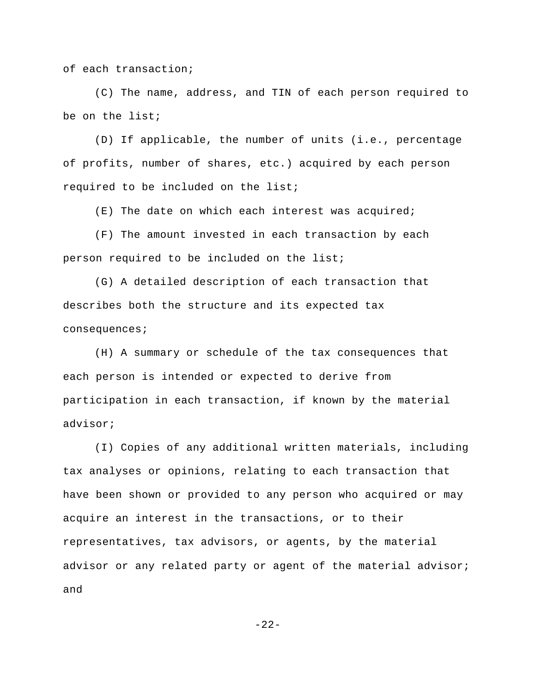of each transaction;

(C) The name, address, and TIN of each person required to be on the list;

(D) If applicable, the number of units (i.e., percentage of profits, number of shares, etc.) acquired by each person required to be included on the list;

(E) The date on which each interest was acquired;

(F) The amount invested in each transaction by each person required to be included on the list;

(G) A detailed description of each transaction that describes both the structure and its expected tax consequences;

(H) A summary or schedule of the tax consequences that each person is intended or expected to derive from participation in each transaction, if known by the material advisor;

(I) Copies of any additional written materials, including tax analyses or opinions, relating to each transaction that have been shown or provided to any person who acquired or may acquire an interest in the transactions, or to their representatives, tax advisors, or agents, by the material advisor or any related party or agent of the material advisor; and

 $-22-$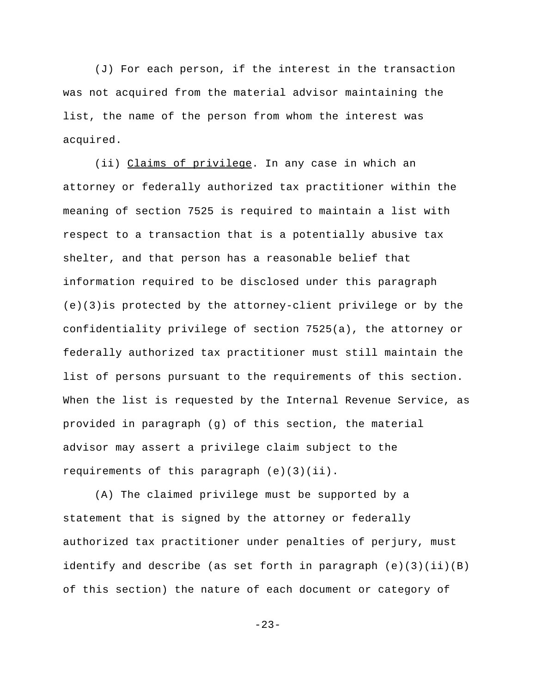(J) For each person, if the interest in the transaction was not acquired from the material advisor maintaining the list, the name of the person from whom the interest was acquired.

(ii) Claims of privilege. In any case in which an attorney or federally authorized tax practitioner within the meaning of section 7525 is required to maintain a list with respect to a transaction that is a potentially abusive tax shelter, and that person has a reasonable belief that information required to be disclosed under this paragraph (e)(3)is protected by the attorney-client privilege or by the confidentiality privilege of section 7525(a), the attorney or federally authorized tax practitioner must still maintain the list of persons pursuant to the requirements of this section. When the list is requested by the Internal Revenue Service, as provided in paragraph (g) of this section, the material advisor may assert a privilege claim subject to the requirements of this paragraph (e)(3)(ii).

(A) The claimed privilege must be supported by a statement that is signed by the attorney or federally authorized tax practitioner under penalties of perjury, must identify and describe (as set forth in paragraph  $(e)(3)(ii)(B)$ of this section) the nature of each document or category of

-23-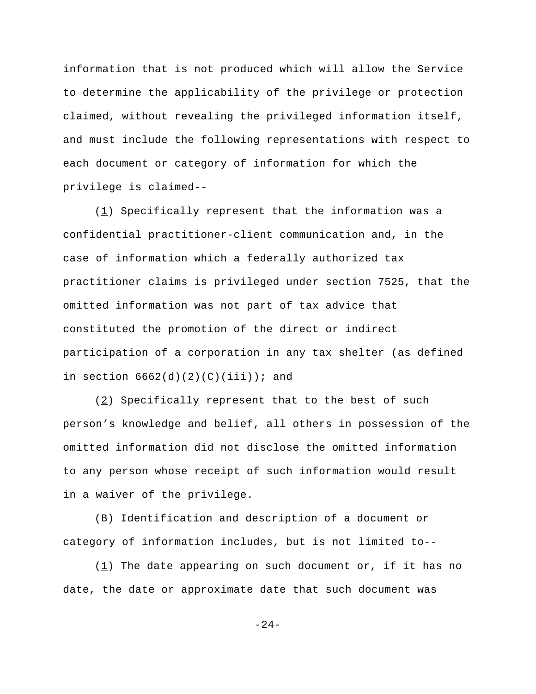information that is not produced which will allow the Service to determine the applicability of the privilege or protection claimed, without revealing the privileged information itself, and must include the following representations with respect to each document or category of information for which the privilege is claimed--

 $(1)$  Specifically represent that the information was a confidential practitioner-client communication and, in the case of information which a federally authorized tax practitioner claims is privileged under section 7525, that the omitted information was not part of tax advice that constituted the promotion of the direct or indirect participation of a corporation in any tax shelter (as defined in section  $6662(d)(2)(C)(iii)$ ; and

 $(2)$  Specifically represent that to the best of such person's knowledge and belief, all others in possession of the omitted information did not disclose the omitted information to any person whose receipt of such information would result in a waiver of the privilege.

(B) Identification and description of a document or category of information includes, but is not limited to--

(1) The date appearing on such document or, if it has no date, the date or approximate date that such document was

-24-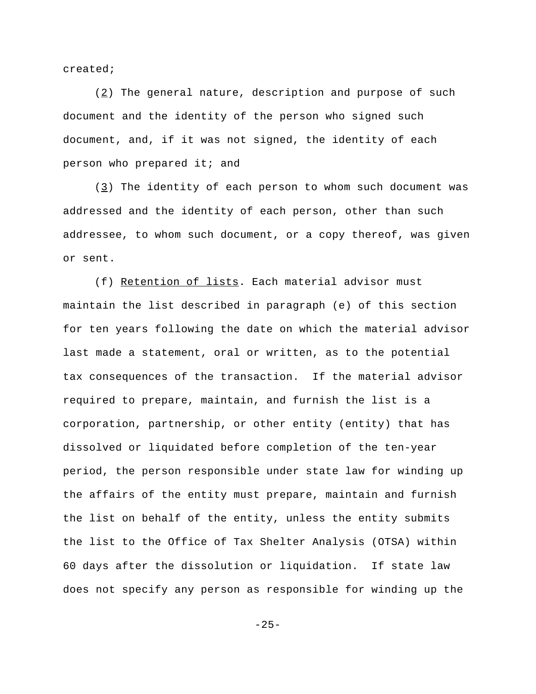created;

 $(2)$  The general nature, description and purpose of such document and the identity of the person who signed such document, and, if it was not signed, the identity of each person who prepared it; and

(3) The identity of each person to whom such document was addressed and the identity of each person, other than such addressee, to whom such document, or a copy thereof, was given or sent.

(f) Retention of lists. Each material advisor must maintain the list described in paragraph (e) of this section for ten years following the date on which the material advisor last made a statement, oral or written, as to the potential tax consequences of the transaction. If the material advisor required to prepare, maintain, and furnish the list is a corporation, partnership, or other entity (entity) that has dissolved or liquidated before completion of the ten-year period, the person responsible under state law for winding up the affairs of the entity must prepare, maintain and furnish the list on behalf of the entity, unless the entity submits the list to the Office of Tax Shelter Analysis (OTSA) within 60 days after the dissolution or liquidation. If state law does not specify any person as responsible for winding up the

 $-25-$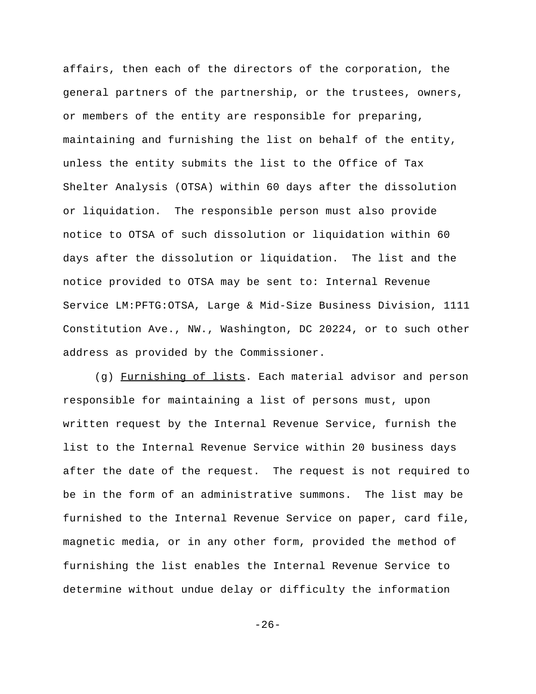affairs, then each of the directors of the corporation, the general partners of the partnership, or the trustees, owners, or members of the entity are responsible for preparing, maintaining and furnishing the list on behalf of the entity, unless the entity submits the list to the Office of Tax Shelter Analysis (OTSA) within 60 days after the dissolution or liquidation. The responsible person must also provide notice to OTSA of such dissolution or liquidation within 60 days after the dissolution or liquidation. The list and the notice provided to OTSA may be sent to: Internal Revenue Service LM:PFTG:OTSA, Large & Mid-Size Business Division, 1111 Constitution Ave., NW., Washington, DC 20224, or to such other address as provided by the Commissioner.

(g) Furnishing of lists. Each material advisor and person responsible for maintaining a list of persons must, upon written request by the Internal Revenue Service, furnish the list to the Internal Revenue Service within 20 business days after the date of the request. The request is not required to be in the form of an administrative summons. The list may be furnished to the Internal Revenue Service on paper, card file, magnetic media, or in any other form, provided the method of furnishing the list enables the Internal Revenue Service to determine without undue delay or difficulty the information

 $-26-$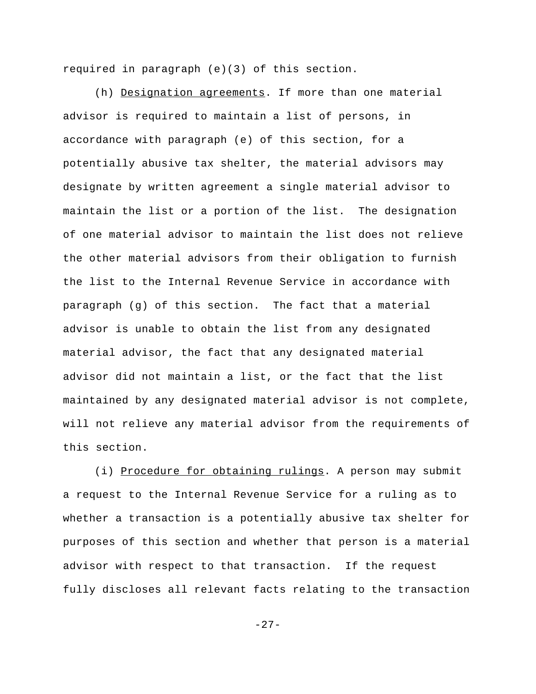required in paragraph (e)(3) of this section.

(h) Designation agreements. If more than one material advisor is required to maintain a list of persons, in accordance with paragraph (e) of this section, for a potentially abusive tax shelter, the material advisors may designate by written agreement a single material advisor to maintain the list or a portion of the list. The designation of one material advisor to maintain the list does not relieve the other material advisors from their obligation to furnish the list to the Internal Revenue Service in accordance with paragraph (g) of this section. The fact that a material advisor is unable to obtain the list from any designated material advisor, the fact that any designated material advisor did not maintain a list, or the fact that the list maintained by any designated material advisor is not complete, will not relieve any material advisor from the requirements of this section.

(i) Procedure for obtaining rulings. A person may submit a request to the Internal Revenue Service for a ruling as to whether a transaction is a potentially abusive tax shelter for purposes of this section and whether that person is a material advisor with respect to that transaction. If the request fully discloses all relevant facts relating to the transaction

 $-27-$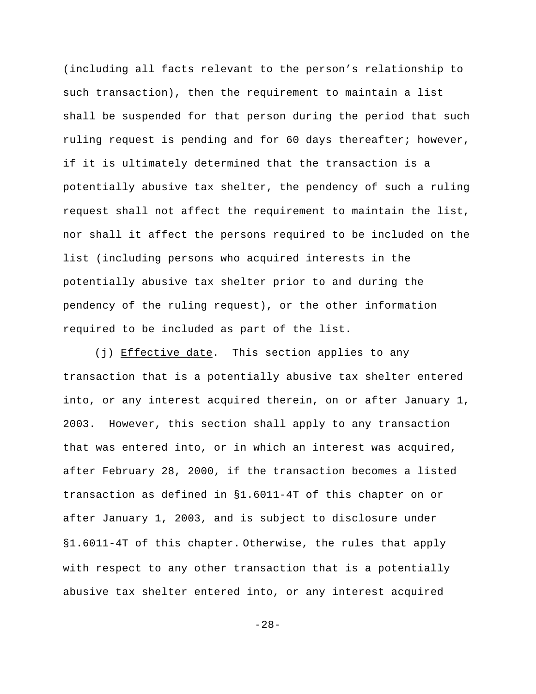(including all facts relevant to the person's relationship to such transaction), then the requirement to maintain a list shall be suspended for that person during the period that such ruling request is pending and for 60 days thereafter; however, if it is ultimately determined that the transaction is a potentially abusive tax shelter, the pendency of such a ruling request shall not affect the requirement to maintain the list, nor shall it affect the persons required to be included on the list (including persons who acquired interests in the potentially abusive tax shelter prior to and during the pendency of the ruling request), or the other information required to be included as part of the list.

(j) Effective date. This section applies to any transaction that is a potentially abusive tax shelter entered into, or any interest acquired therein, on or after January 1, 2003. However, this section shall apply to any transaction that was entered into, or in which an interest was acquired, after February 28, 2000, if the transaction becomes a listed transaction as defined in §1.6011-4T of this chapter on or after January 1, 2003, and is subject to disclosure under §1.6011-4T of this chapter. Otherwise, the rules that apply with respect to any other transaction that is a potentially abusive tax shelter entered into, or any interest acquired

-28-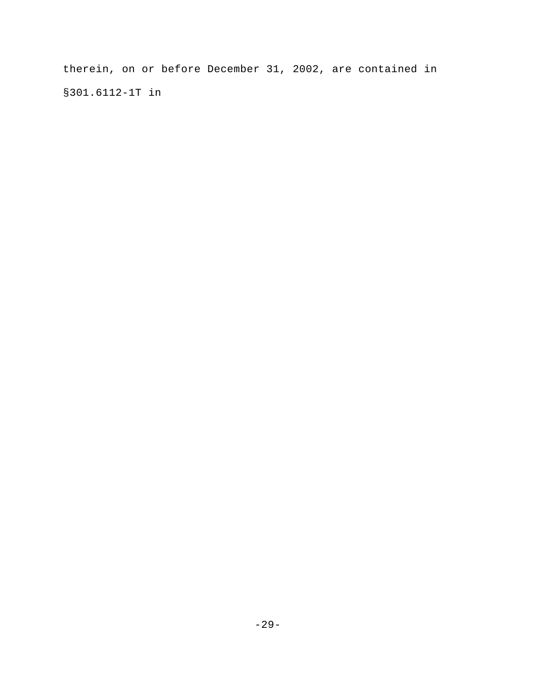therein, on or before December 31, 2002, are contained in §301.6112-1T in